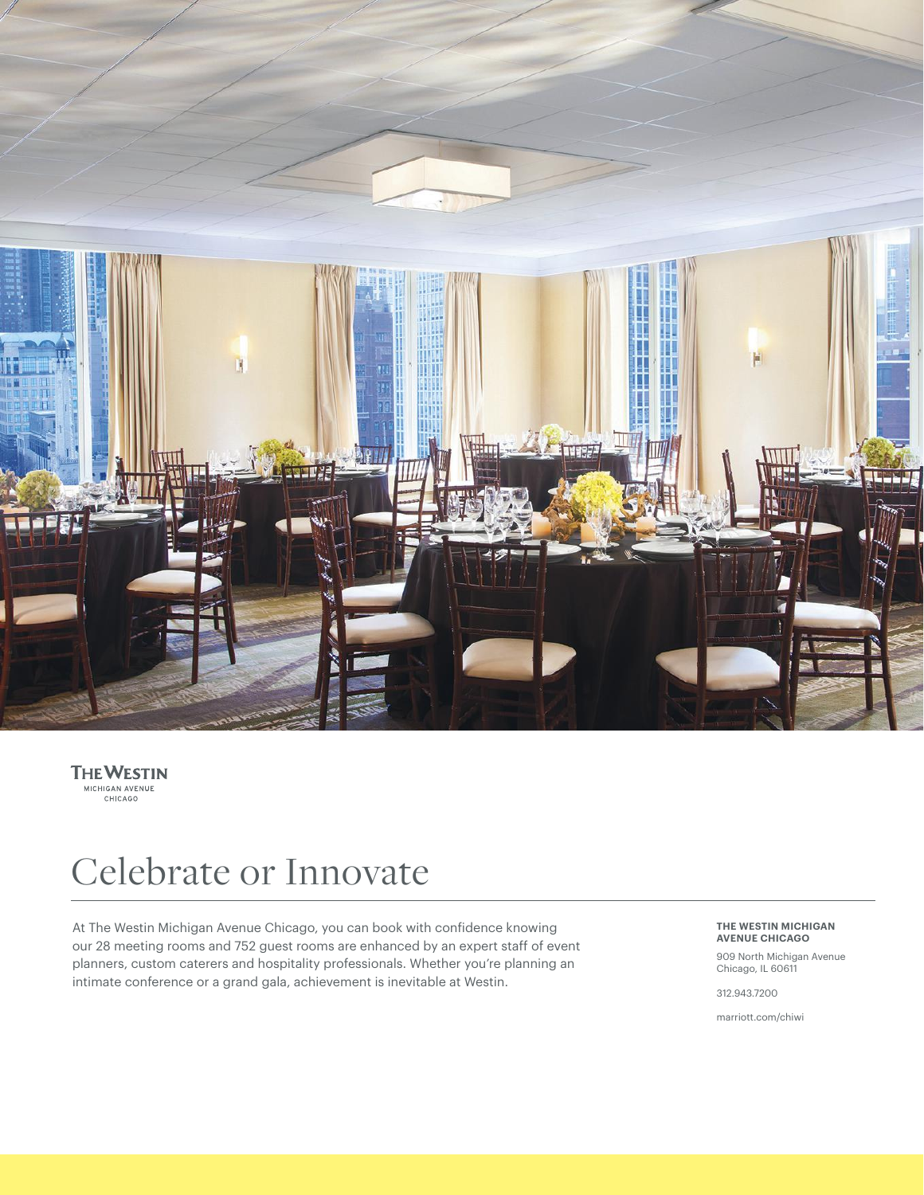

**THE WESTIN**<br>MICHIGAN AVENUE<br>CHICAGO

# Celebrate or Innovate

At The Westin Michigan Avenue Chicago, you can book with confidence knowing our 28 meeting rooms and 752 guest rooms are enhanced by an expert staff of event planners, custom caterers and hospitality professionals. Whether you're planning an intimate conference or a grand gala, achievement is inevitable at Westin.

**THE WESTIN MICHIGAN AVENUE CHICAGO**

909 North Michigan Avenue Chicago, IL 60611

312.943.7200

marriott.com/chiwi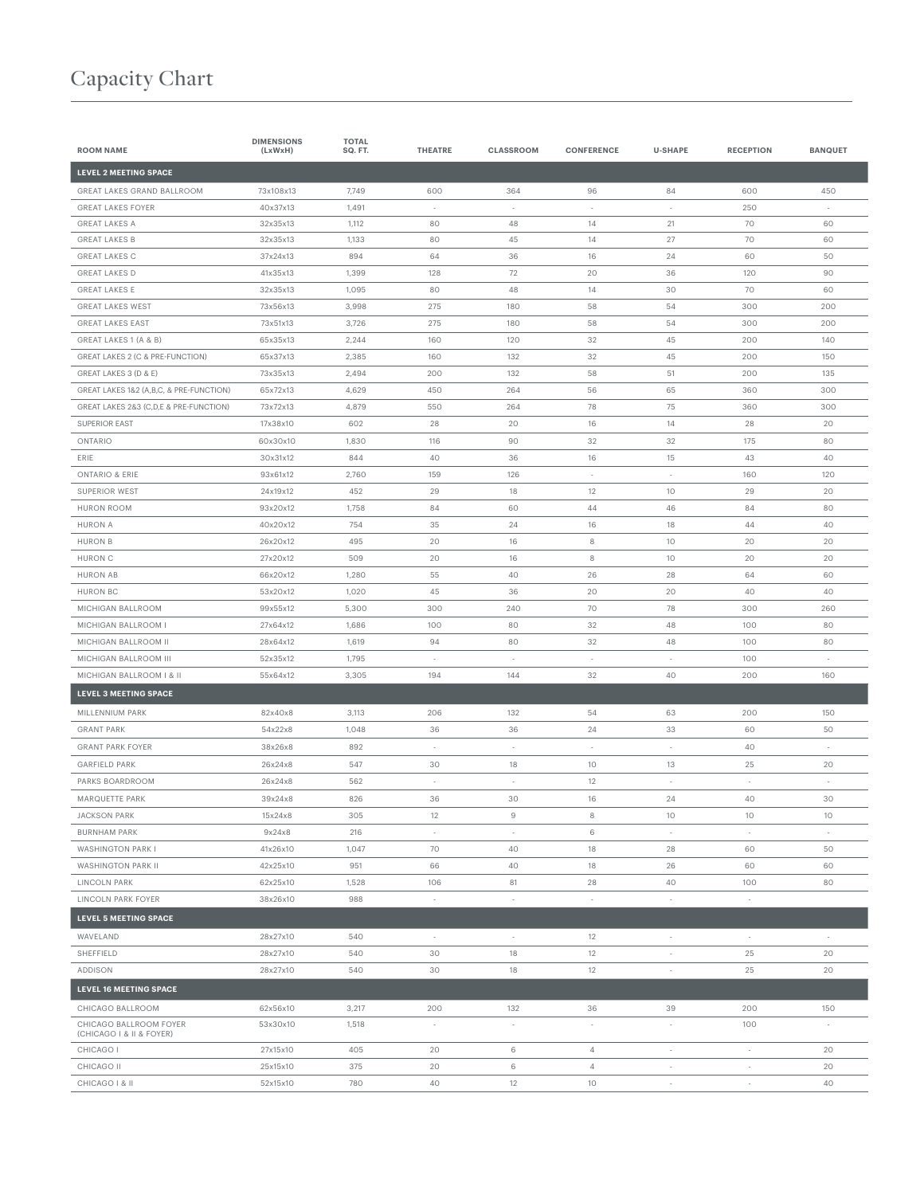#### Capacity Chart

| <b>ROOM NAME</b>                        | <b>DIMENSIONS</b><br>(LxWxH) | <b>TOTAL</b><br>SQ. FT. | <b>THEATRE</b> | <b>CLASSROOM</b>                | <b>CONFERENCE</b>              | <b>U-SHAPE</b>           | <b>RECEPTION</b>         | <b>BANQUET</b>           |
|-----------------------------------------|------------------------------|-------------------------|----------------|---------------------------------|--------------------------------|--------------------------|--------------------------|--------------------------|
| <b>LEVEL 2 MEETING SPACE</b>            |                              |                         |                |                                 |                                |                          |                          |                          |
| GREAT LAKES GRAND BALLROOM              | 73x108x13                    | 7,749                   | 600            | 364                             | 96                             | 84                       | 600                      | 450                      |
| <b>GREAT LAKES FOYER</b>                | 40x37x13                     | 1,491                   | ٠.             | $\sim$                          | ٠                              | $\sim$                   | 250                      | $\sim$                   |
| <b>GREAT LAKES A</b>                    | 32x35x13                     | 1,112                   | 80             | 48                              | 14                             | 21                       | 70                       | 60                       |
| <b>GREAT LAKES B</b>                    | 32x35x13                     | 1,133                   | 80             | 45                              | 14                             | 27                       | 70                       | 60                       |
| <b>GREAT LAKES C</b>                    | 37x24x13                     | 894                     | 64             | 36                              | 16                             | 24                       | 60                       | 50                       |
| <b>GREAT LAKES D</b>                    | 41x35x13                     | 1,399                   | 128            | 72                              | 20                             | 36                       | 120                      | 90                       |
| <b>GREAT LAKES E</b>                    | 32x35x13                     | 1,095                   | 80             | 48                              | 14                             | 30                       | 70                       | 60                       |
| <b>GREAT LAKES WEST</b>                 | 73x56x13                     | 3,998                   | 275            | 180                             | 58                             | 54                       | 300                      | 200                      |
| <b>GREAT LAKES EAST</b>                 | 73x51x13                     | 3,726                   | 275            | 180                             | 58                             | 54                       | 300                      | 200                      |
| GREAT LAKES 1 (A & B)                   | 65x35x13                     | 2,244                   | 160            | 120                             | 32                             | 45                       | 200                      | 140                      |
| GREAT LAKES 2 (C & PRE-FUNCTION)        | 65x37x13                     | 2,385                   | 160            | 132                             | 32                             | 45                       | 200                      | 150                      |
| GREAT LAKES 3 (D & E)                   | 73x35x13                     | 2,494                   | 200            | 132                             | 58                             | 51                       | 200                      | 135                      |
| GREAT LAKES 1&2 (A,B,C, & PRE-FUNCTION) | 65x72x13                     | 4,629                   | 450            | 264                             | 56                             | 65                       | 360                      | 300                      |
| GREAT LAKES 2&3 (C,D,E & PRE-FUNCTION)  | 73x72x13                     | 4,879                   | 550            | 264                             | 78                             | 75                       | 360                      | 300                      |
| <b>SUPERIOR EAST</b>                    | 17x38x10                     | 602                     | 28             | 20                              | 16                             | 14                       | 28                       | 20                       |
| ONTARIO                                 | 60x30x10                     | 1,830                   | 116            | 90                              | 32                             | 32                       | 175                      | 80                       |
| ERIE                                    | 30x31x12                     | 844                     | 40             | 36                              | 16                             | 15                       | 43                       | 40                       |
| <b>ONTARIO &amp; ERIE</b>               | 93x61x12                     | 2,760                   | 159            | 126                             | $\overline{\phantom{a}}$       | $\overline{\phantom{a}}$ | 160                      | 120                      |
| SUPERIOR WEST                           | 24x19x12                     | 452                     | 29             | 18                              | 12                             | 10                       | 29                       | 20                       |
| <b>HURON ROOM</b>                       | 93x20x12                     | 1,758                   | 84             | 60                              | 44                             | 46                       | 84                       | 80                       |
| <b>HURON A</b>                          | 40x20x12                     | 754                     | 35             | 24                              | 16                             | 18                       | 44                       | 40                       |
| <b>HURON B</b>                          | 26x20x12                     | 495                     | 20             | 16                              | 8                              | 10                       | 20                       | 20                       |
| <b>HURON C</b>                          | 27x20x12                     | 509                     | 20             | 16                              | 8                              | 10                       | 20                       | 20                       |
| <b>HURON AB</b>                         | 66x20x12                     | 1,280                   | 55             | 40                              | 26                             | 28                       | 64                       | 60                       |
| <b>HURON BC</b>                         | 53x20x12                     | 1,020                   | 45             | 36                              | 20                             | 20                       | 40                       | 40                       |
| MICHIGAN BALLROOM                       | 99x55x12                     | 5,300                   | 300            | 240                             | 70                             | 78                       | 300                      | 260                      |
| MICHIGAN BALLROOM I                     | 27x64x12                     | 1,686                   | 100            | 80                              | 32                             | 48                       | 100                      | 80                       |
| MICHIGAN BALLROOM II                    | 28x64x12                     | 1,619                   | 94             | 80                              | 32                             | 48                       | 100                      | 80                       |
| MICHIGAN BALLROOM III                   | 52x35x12                     | 1,795                   | ٠              | $\overline{\phantom{a}}$        | ٠                              | $\sim$                   | 100                      | $\sim$                   |
| MICHIGAN BALLROOM   & II                | 55x64x12                     | 3,305                   | 194            | 144                             | 32                             | 40                       | 200                      | 160                      |
| <b>LEVEL 3 MEETING SPACE</b>            |                              |                         |                |                                 |                                |                          |                          |                          |
| MILLENNIUM PARK                         | 82x40x8                      | 3,113                   | 206            | 132                             | 54                             | 63                       | 200                      | 150                      |
| <b>GRANT PARK</b>                       | 54x22x8                      | 1,048                   | 36             | 36                              | 24                             | 33                       | 60                       | 50                       |
| <b>GRANT PARK FOYER</b>                 | 38x26x8                      | 892                     |                |                                 |                                |                          | 40                       |                          |
| <b>GARFIELD PARK</b>                    | 26x24x8                      | 547                     | 30             | 18                              | 10                             | 13                       | 25                       | 20                       |
| PARKS BOARDROOM                         | 26x24x8                      | 562                     | ÷,             | $\sim$                          | 12                             |                          |                          |                          |
| MARQUETTE PARK                          | 39x24x8                      | 826                     | 36             | 30                              | 16                             | 24                       | 40                       | 30                       |
| <b>JACKSON PARK</b>                     | 15x24x8                      | 305                     | 12             | 9                               | 8                              | 10                       | 10                       | 10                       |
| <b>BURNHAM PARK</b>                     | 9x24x8                       | 216                     | ×,             | $\sim$                          | 6                              | $\cdot$                  | $\overline{\phantom{a}}$ | $\overline{\phantom{a}}$ |
| WASHINGTON PARK I                       | 41x26x10                     | 1,047                   | 70             | 40                              | 18                             | 28                       | 60                       | 50                       |
| WASHINGTON PARK II                      | 42x25x10                     | 951                     | 66             | 40                              | 18                             | 26                       | 60                       | 60                       |
| <b>LINCOLN PARK</b>                     | 62x25x10                     | 1,528                   | 106            | 81                              | 28                             | 40                       | 100                      | 80                       |
| LINCOLN PARK FOYER                      | 38x26x10                     | 988                     | $\sim$         | $\sim$                          | $\overline{\phantom{a}}$       | $\cdot$                  | $\sim$                   |                          |
| <b>LEVEL 5 MEETING SPACE</b>            |                              |                         |                |                                 |                                |                          |                          |                          |
| WAVELAND                                | 28x27x10                     | 540                     | $\sim$         | $\sim$                          | 12                             | $\cdot$                  | $\sim$                   | $\sim$                   |
| SHEFFIELD                               | 28x27x10                     | 540                     | 30             | 18                              | 12                             | $\overline{\phantom{a}}$ | 25                       | 20                       |
| ADDISON                                 | 28x27x10                     | 540                     | 30             | 18                              | 12                             | $\sim$                   | 25                       | 20                       |
| <b>LEVEL 16 MEETING SPACE</b>           |                              |                         |                |                                 |                                |                          |                          |                          |
| CHICAGO BALLROOM                        | 62x56x10                     |                         | 200            |                                 |                                |                          | 200                      | 150                      |
| CHICAGO BALLROOM FOYER                  | 53x30x10                     | 3,217<br>1,518          | $\sim$         | 132<br>$\overline{\phantom{a}}$ | 36<br>$\overline{\phantom{a}}$ | 39<br>$\sim$             | 100                      | $\sim$                   |
| (CHICAGO I & II & FOYER)                |                              |                         |                |                                 |                                |                          |                          |                          |
| CHICAGO I                               | 27x15x10                     | 405                     | 20             | 6                               | $\overline{4}$                 | $\overline{\phantom{a}}$ | $\sim$                   | 20                       |
| CHICAGO II                              | 25x15x10                     | 375                     | 20             | 6                               | $\overline{4}$                 | $\overline{\phantom{a}}$ | ÷,                       | 20                       |
| CHICAGO   & II                          | 52x15x10                     | 780                     | 40             | 12                              | 10                             | $\overline{\phantom{a}}$ | $\sim$                   | 40                       |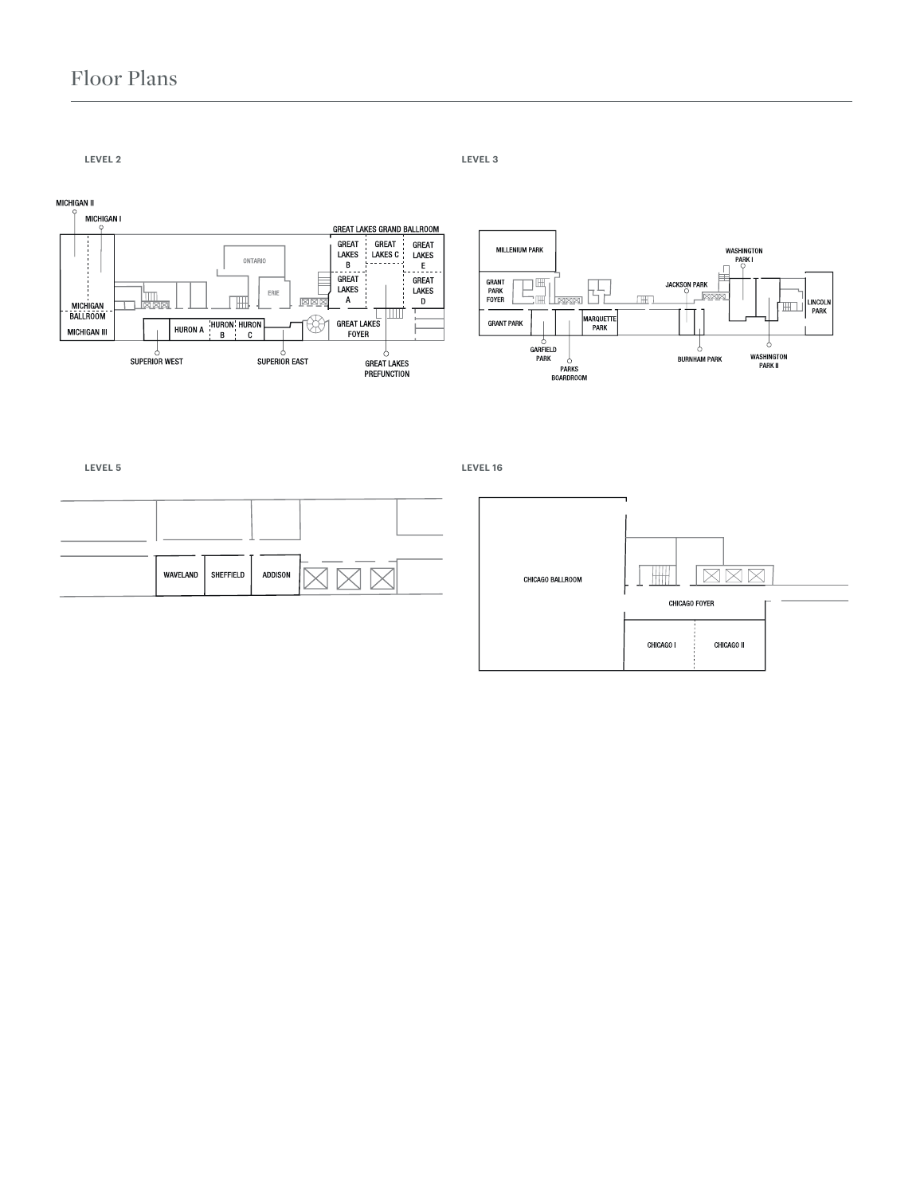#### Floor Plans

**LEVEL 2 LEVEL 3**